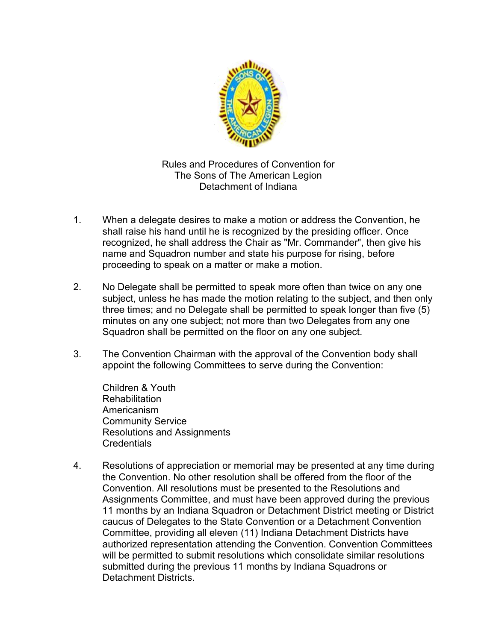

Rules and Procedures of Convention for The Sons of The American Legion Detachment of Indiana

- 1. When a delegate desires to make a motion or address the Convention, he shall raise his hand until he is recognized by the presiding officer. Once recognized, he shall address the Chair as "Mr. Commander", then give his name and Squadron number and state his purpose for rising, before proceeding to speak on a matter or make a motion.
- 2. No Delegate shall be permitted to speak more often than twice on any one subject, unless he has made the motion relating to the subject, and then only three times; and no Delegate shall be permitted to speak longer than five (5) minutes on any one subject; not more than two Delegates from any one Squadron shall be permitted on the floor on any one subject.
- 3. The Convention Chairman with the approval of the Convention body shall appoint the following Committees to serve during the Convention:

Children & Youth **Rehabilitation** Americanism Community Service Resolutions and Assignments **Credentials** 

4. Resolutions of appreciation or memorial may be presented at any time during the Convention. No other resolution shall be offered from the floor of the Convention. All resolutions must be presented to the Resolutions and Assignments Committee, and must have been approved during the previous 11 months by an Indiana Squadron or Detachment District meeting or District caucus of Delegates to the State Convention or a Detachment Convention Committee, providing all eleven (11) Indiana Detachment Districts have authorized representation attending the Convention. Convention Committees will be permitted to submit resolutions which consolidate similar resolutions submitted during the previous 11 months by Indiana Squadrons or Detachment Districts.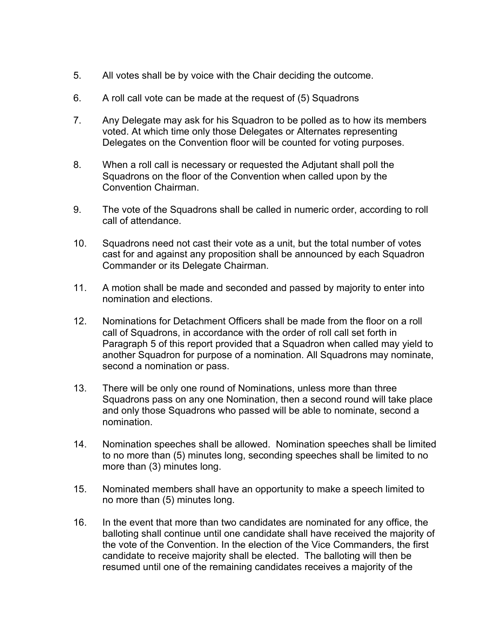- 5. All votes shall be by voice with the Chair deciding the outcome.
- 6. A roll call vote can be made at the request of (5) Squadrons
- 7. Any Delegate may ask for his Squadron to be polled as to how its members voted. At which time only those Delegates or Alternates representing Delegates on the Convention floor will be counted for voting purposes.
- 8. When a roll call is necessary or requested the Adjutant shall poll the Squadrons on the floor of the Convention when called upon by the Convention Chairman.
- 9. The vote of the Squadrons shall be called in numeric order, according to roll call of attendance.
- 10. Squadrons need not cast their vote as a unit, but the total number of votes cast for and against any proposition shall be announced by each Squadron Commander or its Delegate Chairman.
- 11. A motion shall be made and seconded and passed by majority to enter into nomination and elections.
- 12. Nominations for Detachment Officers shall be made from the floor on a roll call of Squadrons, in accordance with the order of roll call set forth in Paragraph 5 of this report provided that a Squadron when called may yield to another Squadron for purpose of a nomination. All Squadrons may nominate, second a nomination or pass.
- 13. There will be only one round of Nominations, unless more than three Squadrons pass on any one Nomination, then a second round will take place and only those Squadrons who passed will be able to nominate, second a nomination.
- 14. Nomination speeches shall be allowed. Nomination speeches shall be limited to no more than (5) minutes long, seconding speeches shall be limited to no more than (3) minutes long.
- 15. Nominated members shall have an opportunity to make a speech limited to no more than (5) minutes long.
- 16. In the event that more than two candidates are nominated for any office, the balloting shall continue until one candidate shall have received the majority of the vote of the Convention. In the election of the Vice Commanders, the first candidate to receive majority shall be elected. The balloting will then be resumed until one of the remaining candidates receives a majority of the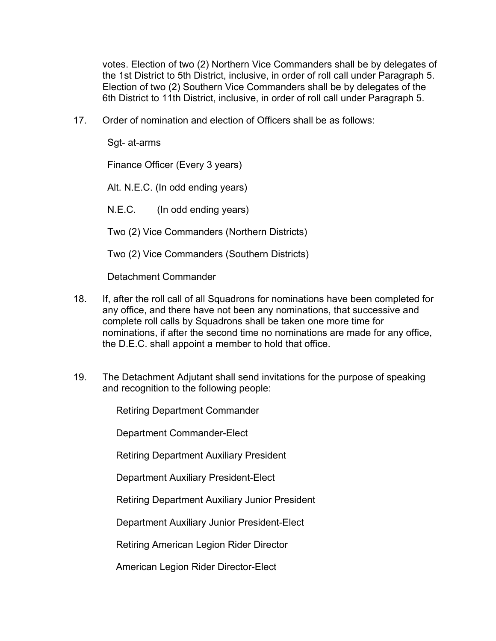votes. Election of two (2) Northern Vice Commanders shall be by delegates of the 1st District to 5th District, inclusive, in order of roll call under Paragraph 5. Election of two (2) Southern Vice Commanders shall be by delegates of the 6th District to 11th District, inclusive, in order of roll call under Paragraph 5.

17. Order of nomination and election of Officers shall be as follows:

Sgt- at-arms

Finance Officer (Every 3 years)

Alt. N.E.C. (In odd ending years)

N.E.C. (In odd ending years)

Two (2) Vice Commanders (Northern Districts)

Two (2) Vice Commanders (Southern Districts)

Detachment Commander

- 18. If, after the roll call of all Squadrons for nominations have been completed for any office, and there have not been any nominations, that successive and complete roll calls by Squadrons shall be taken one more time for nominations, if after the second time no nominations are made for any office, the D.E.C. shall appoint a member to hold that office.
- 19. The Detachment Adjutant shall send invitations for the purpose of speaking and recognition to the following people:

Retiring Department Commander

Department Commander-Elect

Retiring Department Auxiliary President

Department Auxiliary President-Elect

Retiring Department Auxiliary Junior President

Department Auxiliary Junior President-Elect

Retiring American Legion Rider Director

American Legion Rider Director-Elect